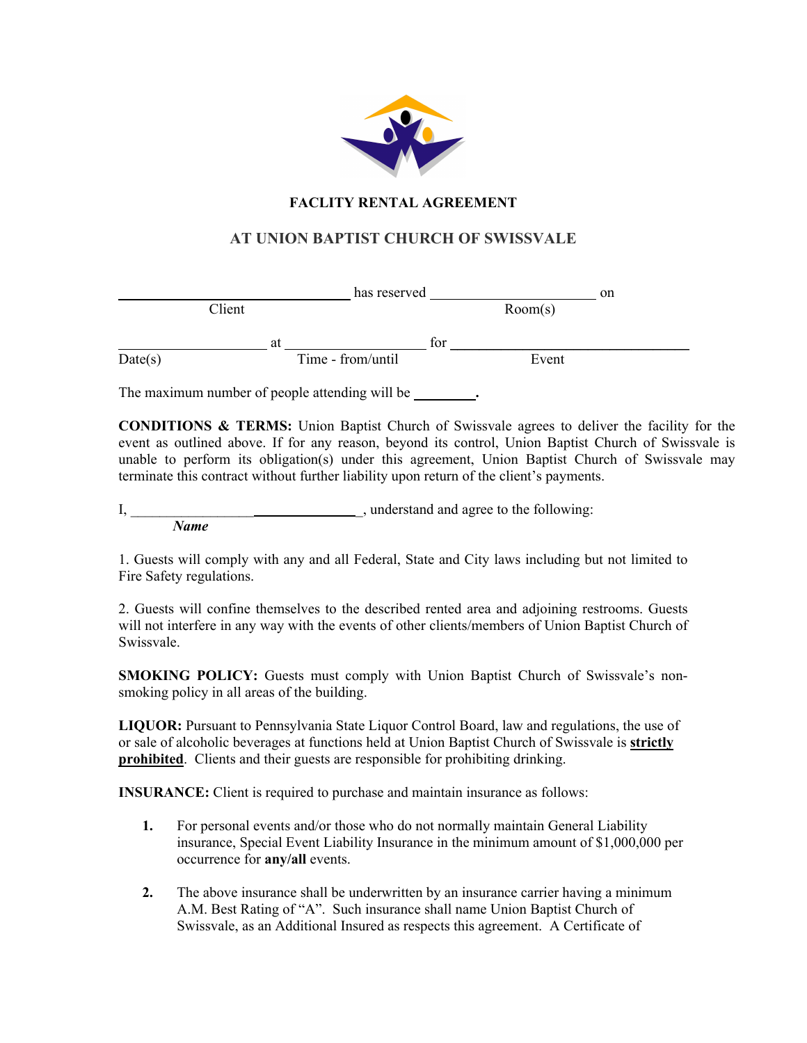

# **FACLITY RENTAL AGREEMENT**

# **AT UNION BAPTIST CHURCH OF SWISSVALE**

|         |        |    | has reserved      |     |         | on |
|---------|--------|----|-------------------|-----|---------|----|
|         | Client |    |                   |     | Room(s) |    |
|         |        | at |                   | tor |         |    |
| Date(s) |        |    | Time - from/until |     | Event   |    |

The maximum number of people attending will be **.**

**CONDITIONS & TERMS:** Union Baptist Church of Swissvale agrees to deliver the facility for the event as outlined above. If for any reason, beyond its control, Union Baptist Church of Swissvale is unable to perform its obligation(s) under this agreement, Union Baptist Church of Swissvale may terminate this contract without further liability upon return of the client's payments.

I,  $\qquad \qquad \qquad \qquad$  understand and agree to the following: *Name*

1. Guests will comply with any and all Federal, State and City laws including but not limited to Fire Safety regulations.

2. Guests will confine themselves to the described rented area and adjoining restrooms. Guests will not interfere in any way with the events of other clients/members of Union Baptist Church of Swissvale.

**SMOKING POLICY:** Guests must comply with Union Baptist Church of Swissvale's nonsmoking policy in all areas of the building.

**LIQUOR:** Pursuant to Pennsylvania State Liquor Control Board, law and regulations, the use of or sale of alcoholic beverages at functions held at Union Baptist Church of Swissvale is **strictly prohibited**. Clients and their guests are responsible for prohibiting drinking.

**INSURANCE:** Client is required to purchase and maintain insurance as follows:

- **1.** For personal events and/or those who do not normally maintain General Liability insurance, Special Event Liability Insurance in the minimum amount of \$1,000,000 per occurrence for **any/all** events.
- **2.** The above insurance shall be underwritten by an insurance carrier having a minimum A.M. Best Rating of "A". Such insurance shall name Union Baptist Church of Swissvale, as an Additional Insured as respects this agreement. A Certificate of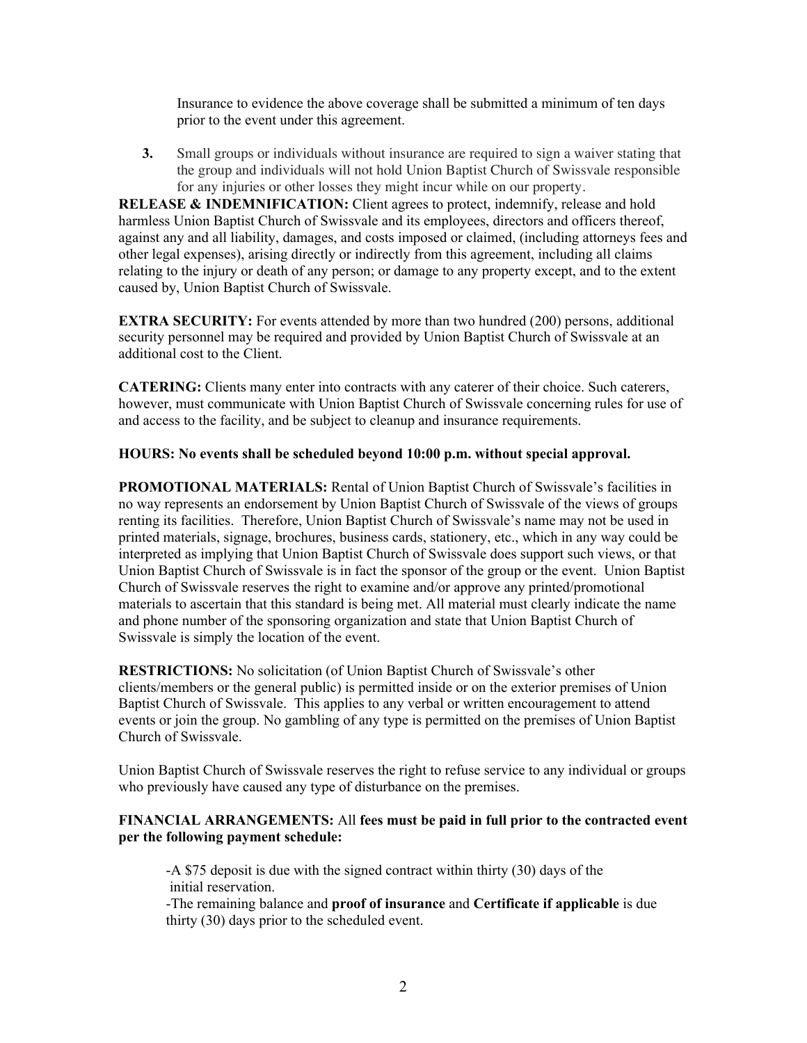Insurance to evidence the above coverage shall be submitted a minimum of ten days prior to the event under this agreement.

**3.** Small groups or individuals without insurance are required to sign a waiver stating that the group and individuals will not hold Union Baptist Church of Swissvale responsible for any injuries or other losses they might incur while on our property.

**RELEASE & INDEMNIFICATION:** Client agrees to protect, indemnify, release and hold harmless Union Baptist Church of Swissvale and its employees, directors and officers thereof, against any and all liability, damages, and costs imposed or claimed, (including attorneys fees and other legal expenses), arising directly or indirectly from this agreement, including all claims relating to the injury or death of any person; or damage to any property except, and to the extent caused by, Union Baptist Church of Swissvale.

**EXTRA SECURITY:** For events attended by more than two hundred (200) persons, additional security personnel may be required and provided by Union Baptist Church of Swissvale at an additional cost to the Client.

**CATERING:** Clients many enter into contracts with any caterer of their choice. Such caterers, however, must communicate with Union Baptist Church of Swissvale concerning rules for use of and access to the facility, and be subject to cleanup and insurance requirements.

### **HOURS: No events shall be scheduled beyond 10:00 p.m. without special approval.**

**PROMOTIONAL MATERIALS:** Rental of Union Baptist Church of Swissvale's facilities in no way represents an endorsement by Union Baptist Church of Swissvale of the views of groups renting its facilities. Therefore, Union Baptist Church of Swissvale's name may not be used in printed materials, signage, brochures, business cards, stationery, etc., which in any way could be interpreted as implying that Union Baptist Church of Swissvale does support such views, or that Union Baptist Church of Swissvale is in fact the sponsor of the group or the event. Union Baptist Church of Swissvale reserves the right to examine and/or approve any printed/promotional materials to ascertain that this standard is being met. All material must clearly indicate the name and phone number of the sponsoring organization and state that Union Baptist Church of Swissvale is simply the location of the event.

**RESTRICTIONS:** No solicitation (of Union Baptist Church of Swissvale's other clients/members or the general public) is permitted inside or on the exterior premises of Union Baptist Church of Swissvale. This applies to any verbal or written encouragement to attend events or join the group. No gambling of any type is permitted on the premises of Union Baptist Church of Swissvale.

Union Baptist Church of Swissvale reserves the right to refuse service to any individual or groups who previously have caused any type of disturbance on the premises.

#### **FINANCIAL ARRANGEMENTS:** All **fees must be paid in full prior to the contracted event per the following payment schedule:**

-A \$75 deposit is due with the signed contract within thirty (30) days of the initial reservation.

-The remaining balance and **proof of insurance** and **Certificate if applicable** is due thirty (30) days prior to the scheduled event.